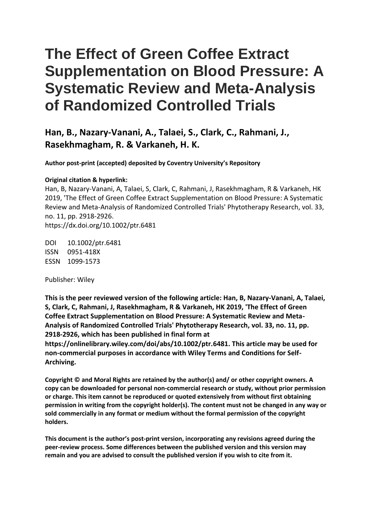# **The Effect of Green Coffee Extract Supplementation on Blood Pressure: A Systematic Review and Meta-Analysis of Randomized Controlled Trials**

### **Han, B., Nazary-Vanani, A., Talaei, S., Clark, C., Rahmani, J., Rasekhmagham, R. & Varkaneh, H. K.**

**Author post-print (accepted) deposited by Coventry University's Repository**

#### **Original citation & hyperlink:**

Han, B, Nazary-Vanani, A, Talaei, S, Clark, C, Rahmani, J, Rasekhmagham, R & Varkaneh, HK 2019, 'The Effect of Green Coffee Extract Supplementation on Blood Pressure: A Systematic Review and Meta-Analysis of Randomized Controlled Trials' Phytotherapy Research, vol. 33, no. 11, pp. 2918-2926. https://dx.doi.org/10.1002/ptr.6481

DOI 10.1002/ptr.6481 ISSN 0951-418X ESSN 1099-1573

Publisher: Wiley

**This is the peer reviewed version of the following article: Han, B, Nazary-Vanani, A, Talaei, S, Clark, C, Rahmani, J, Rasekhmagham, R & Varkaneh, HK 2019, 'The Effect of Green Coffee Extract Supplementation on Blood Pressure: A Systematic Review and Meta-Analysis of Randomized Controlled Trials' Phytotherapy Research, vol. 33, no. 11, pp. 2918-2926, which has been published in final form at** 

**https://onlinelibrary.wiley.com/doi/abs/10.1002/ptr.6481. This article may be used for non-commercial purposes in accordance with Wiley Terms and Conditions for Self-Archiving.**

**Copyright © and Moral Rights are retained by the author(s) and/ or other copyright owners. A copy can be downloaded for personal non-commercial research or study, without prior permission or charge. This item cannot be reproduced or quoted extensively from without first obtaining permission in writing from the copyright holder(s). The content must not be changed in any way or sold commercially in any format or medium without the formal permission of the copyright holders.** 

**This document is the author's post-print version, incorporating any revisions agreed during the peer-review process. Some differences between the published version and this version may remain and you are advised to consult the published version if you wish to cite from it.**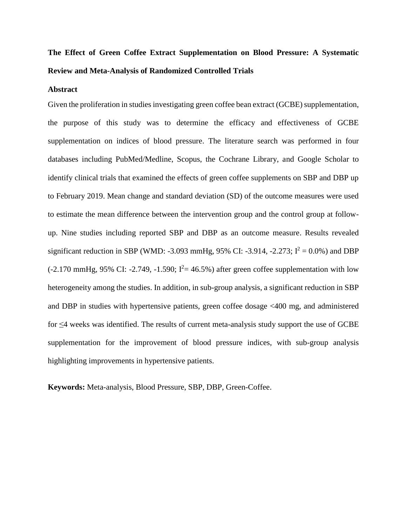## **The Effect of Green Coffee Extract Supplementation on Blood Pressure: A Systematic Review and Meta-Analysis of Randomized Controlled Trials**

#### **Abstract**

Given the proliferation in studies investigating green coffee bean extract (GCBE) supplementation, the purpose of this study was to determine the efficacy and effectiveness of GCBE supplementation on indices of blood pressure. The literature search was performed in four databases including PubMed/Medline, Scopus, the Cochrane Library, and Google Scholar to identify clinical trials that examined the effects of green coffee supplements on SBP and DBP up to February 2019. Mean change and standard deviation (SD) of the outcome measures were used to estimate the mean difference between the intervention group and the control group at followup. Nine studies including reported SBP and DBP as an outcome measure. Results revealed significant reduction in SBP (WMD: -3.093 mmHg, 95% CI: -3.914, -2.273;  $I^2 = 0.0\%$ ) and DBP  $(-2.170 \text{ mmHg}, 95\% \text{ CI: } -2.749, -1.590; I^2 = 46.5\%)$  after green coffee supplementation with low heterogeneity among the studies. In addition, in sub-group analysis, a significant reduction in SBP and DBP in studies with hypertensive patients, green coffee dosage <400 mg, and administered for ≤4 weeks was identified. The results of current meta-analysis study support the use of GCBE supplementation for the improvement of blood pressure indices, with sub-group analysis highlighting improvements in hypertensive patients.

**Keywords:** Meta-analysis, Blood Pressure, SBP, DBP, Green-Coffee.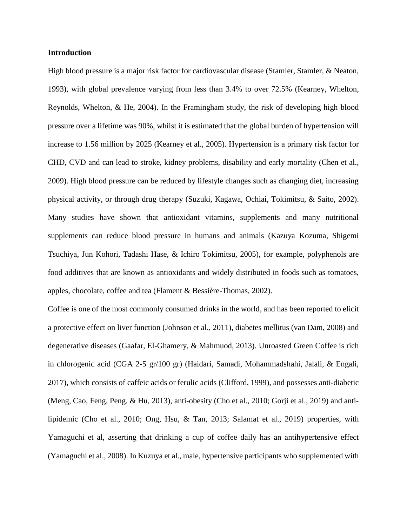#### **Introduction**

High blood pressure is a major risk factor for cardiovascular disease (Stamler, Stamler, & Neaton, 1993), with global prevalence varying from less than 3.4% to over 72.5% (Kearney, Whelton, Reynolds, Whelton, & He, 2004). In the Framingham study, the risk of developing high blood pressure over a lifetime was 90%, whilst it is estimated that the global burden of hypertension will increase to 1.56 million by 2025 (Kearney et al., 2005). Hypertension is a primary risk factor for CHD, CVD and can lead to stroke, kidney problems, disability and early mortality (Chen et al., 2009). High blood pressure can be reduced by lifestyle changes such as changing diet, increasing physical activity, or through drug therapy (Suzuki, Kagawa, Ochiai, Tokimitsu, & Saito, 2002). Many studies have shown that antioxidant vitamins, supplements and many nutritional supplements can reduce blood pressure in humans and animals (Kazuya Kozuma, Shigemi Tsuchiya, Jun Kohori, Tadashi Hase, & Ichiro Tokimitsu, 2005), for example, polyphenols are food additives that are known as antioxidants and widely distributed in foods such as tomatoes, apples, chocolate, coffee and tea (Flament & Bessière-Thomas, 2002).

Coffee is one of the most commonly consumed drinks in the world, and has been reported to elicit a protective effect on liver function (Johnson et al., 2011), diabetes mellitus (van Dam, 2008) and degenerative diseases (Gaafar, El-Ghamery, & Mahmuod, 2013). Unroasted Green Coffee is rich in chlorogenic acid (CGA 2-5 gr/100 gr) (Haidari, Samadi, Mohammadshahi, Jalali, & Engali, 2017), which consists of caffeic acids or ferulic acids (Clifford, 1999), and possesses anti-diabetic (Meng, Cao, Feng, Peng, & Hu, 2013), anti-obesity (Cho et al., 2010; Gorji et al., 2019) and antilipidemic (Cho et al., 2010; Ong, Hsu, & Tan, 2013; Salamat et al., 2019) properties, with Yamaguchi et al, asserting that drinking a cup of coffee daily has an antihypertensive effect (Yamaguchi et al., 2008). In Kuzuya et al., male, hypertensive participants who supplemented with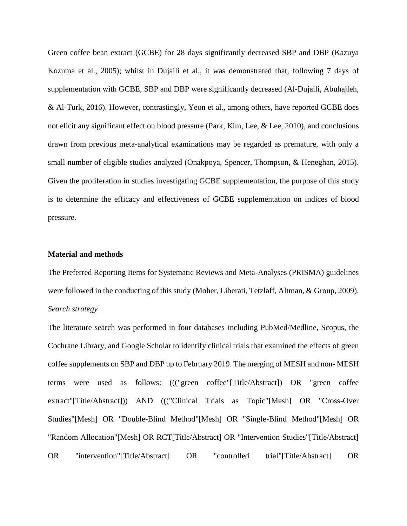Green coffee bean extract (GCBE) for 28 days significantly decreased SBP and DBP (Kazuya Kozuma et al., 2005); whilst in Dujaili et al., it was demonstrated that, following 7 days of supplementation with GCBE, SBP and DBP were significantly decreased (Al-Dujaili, Abuhajleh, & Al-Turk, 2016). However, contrastingly, Yeon et al., among others, have reported GCBE does not elicit any significant effect on blood pressure (Park, Kim, Lee, & Lee, 2010), and conclusions drawn from previous meta-analytical examinations may be regarded as premature, with only a small number of eligible studies analyzed (Onakpoya, Spencer, Thompson, & Heneghan, 2015). Given the proliferation in studies investigating GCBE supplementation, the purpose of this study is to determine the efficacy and effectiveness of GCBE supplementation on indices of blood pressure.

#### **Material and methods**

The Preferred Reporting Items for Systematic Reviews and Meta-Analyses (PRISMA) guidelines were followed in the conducting of this study (Moher, Liberati, Tetzlaff, Altman, & Group, 2009). *Search strategy*

The literature search was performed in four databases including PubMed/Medline, Scopus, the Cochrane Library, and Google Scholar to identify clinical trials that examined the effects of green coffee supplements on SBP and DBP up to February 2019. The merging of MESH and non- MESH terms were used as follows: ((("green coffee"[Title/Abstract]) OR "green coffee extract"[Title/Abstract])) AND ((("Clinical Trials as Topic"[Mesh] OR "Cross-Over Studies"[Mesh] OR "Double-Blind Method"[Mesh] OR "Single-Blind Method"[Mesh] OR "Random Allocation"[Mesh] OR RCT[Title/Abstract] OR "Intervention Studies"[Title/Abstract] OR "intervention"[Title/Abstract] OR "controlled trial"[Title/Abstract] OR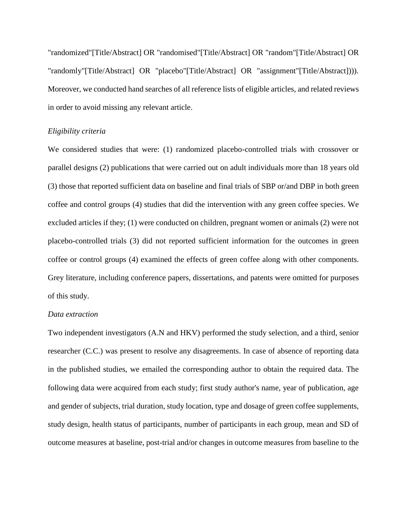"randomized"[Title/Abstract] OR "randomised"[Title/Abstract] OR "random"[Title/Abstract] OR "randomly"[Title/Abstract] OR "placebo"[Title/Abstract] OR "assignment"[Title/Abstract]))). Moreover, we conducted hand searches of all reference lists of eligible articles, and related reviews in order to avoid missing any relevant article.

#### *Eligibility criteria*

We considered studies that were: (1) randomized placebo-controlled trials with crossover or parallel designs (2) publications that were carried out on adult individuals more than 18 years old (3) those that reported sufficient data on baseline and final trials of SBP or/and DBP in both green coffee and control groups (4) studies that did the intervention with any green coffee species. We excluded articles if they; (1) were conducted on children, pregnant women or animals (2) were not placebo-controlled trials (3) did not reported sufficient information for the outcomes in green coffee or control groups (4) examined the effects of green coffee along with other components. Grey literature, including conference papers, dissertations, and patents were omitted for purposes of this study.

#### *Data extraction*

Two independent investigators (A.N and HKV) performed the study selection, and a third, senior researcher (C.C.) was present to resolve any disagreements. In case of absence of reporting data in the published studies, we emailed the corresponding author to obtain the required data. The following data were acquired from each study; first study author's name, year of publication, age and gender of subjects, trial duration, study location, type and dosage of green coffee supplements, study design, health status of participants, number of participants in each group, mean and SD of outcome measures at baseline, post-trial and/or changes in outcome measures from baseline to the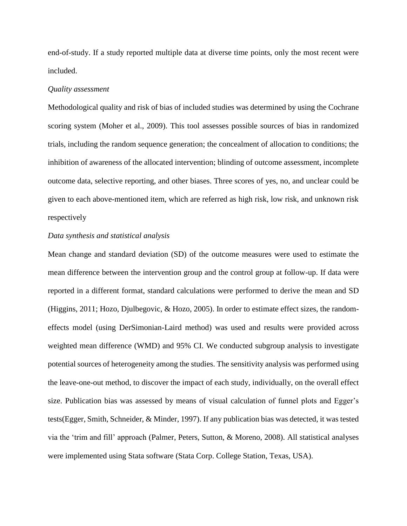end-of-study. If a study reported multiple data at diverse time points, only the most recent were included.

#### *Quality assessment*

Methodological quality and risk of bias of included studies was determined by using the Cochrane scoring system (Moher et al., 2009). This tool assesses possible sources of bias in randomized trials, including the random sequence generation; the concealment of allocation to conditions; the inhibition of awareness of the allocated intervention; blinding of outcome assessment, incomplete outcome data, selective reporting, and other biases. Three scores of yes, no, and unclear could be given to each above-mentioned item, which are referred as high risk, low risk, and unknown risk respectively

#### *Data synthesis and statistical analysis*

Mean change and standard deviation (SD) of the outcome measures were used to estimate the mean difference between the intervention group and the control group at follow-up. If data were reported in a different format, standard calculations were performed to derive the mean and SD (Higgins, 2011; Hozo, Djulbegovic, & Hozo, 2005). In order to estimate effect sizes, the randomeffects model (using DerSimonian-Laird method) was used and results were provided across weighted mean difference (WMD) and 95% CI. We conducted subgroup analysis to investigate potential sources of heterogeneity among the studies. The sensitivity analysis was performed using the leave-one-out method, to discover the impact of each study, individually, on the overall effect size. Publication bias was assessed by means of visual calculation of funnel plots and Egger's tests(Egger, Smith, Schneider, & Minder, 1997). If any publication bias was detected, it was tested via the 'trim and fill' approach (Palmer, Peters, Sutton, & Moreno, 2008). All statistical analyses were implemented using Stata software (Stata Corp. College Station, Texas, USA).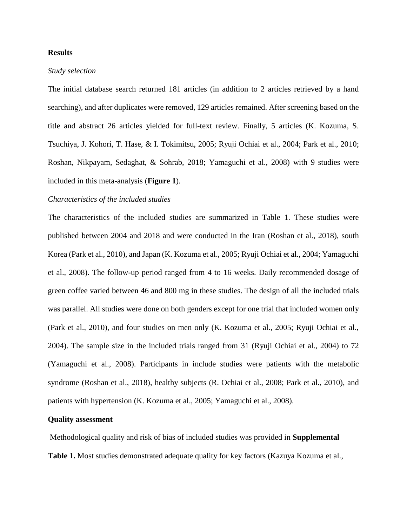#### **Results**

#### *Study selection*

The initial database search returned 181 articles (in addition to 2 articles retrieved by a hand searching), and after duplicates were removed, 129 articles remained. After screening based on the title and abstract 26 articles yielded for full-text review. Finally, 5 articles (K. Kozuma, S. Tsuchiya, J. Kohori, T. Hase, & I. Tokimitsu, 2005; Ryuji Ochiai et al., 2004; Park et al., 2010; Roshan, Nikpayam, Sedaghat, & Sohrab, 2018; Yamaguchi et al., 2008) with 9 studies were included in this meta-analysis (**Figure 1**).

#### *Characteristics of the included studies*

The characteristics of the included studies are summarized in Table 1. These studies were published between 2004 and 2018 and were conducted in the Iran (Roshan et al., 2018), south Korea (Park et al., 2010), and Japan (K. Kozuma et al., 2005; Ryuji Ochiai et al., 2004; Yamaguchi et al., 2008). The follow-up period ranged from 4 to 16 weeks. Daily recommended dosage of green coffee varied between 46 and 800 mg in these studies. The design of all the included trials was parallel. All studies were done on both genders except for one trial that included women only (Park et al., 2010), and four studies on men only (K. Kozuma et al., 2005; Ryuji Ochiai et al., 2004). The sample size in the included trials ranged from 31 (Ryuji Ochiai et al., 2004) to 72 (Yamaguchi et al., 2008). Participants in include studies were patients with the metabolic syndrome (Roshan et al., 2018), healthy subjects (R. Ochiai et al., 2008; Park et al., 2010), and patients with hypertension (K. Kozuma et al., 2005; Yamaguchi et al., 2008).

#### **Quality assessment**

Methodological quality and risk of bias of included studies was provided in **Supplemental Table 1.** Most studies demonstrated adequate quality for key factors (Kazuya Kozuma et al.,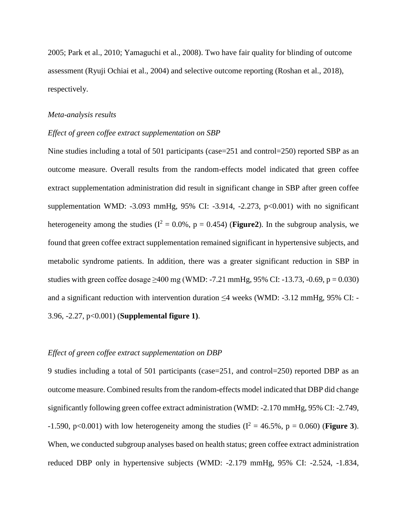2005; Park et al., 2010; Yamaguchi et al., 2008). Two have fair quality for blinding of outcome assessment (Ryuji Ochiai et al., 2004) and selective outcome reporting (Roshan et al., 2018), respectively.

#### *Meta-analysis results*

#### *Effect of green coffee extract supplementation on SBP*

Nine studies including a total of 501 participants (case=251 and control=250) reported SBP as an outcome measure. Overall results from the random-effects model indicated that green coffee extract supplementation administration did result in significant change in SBP after green coffee supplementation WMD:  $-3.093$  mmHg, 95% CI:  $-3.914$ ,  $-2.273$ ,  $p<0.001$ ) with no significant heterogeneity among the studies ( $I^2 = 0.0\%$ ,  $p = 0.454$ ) (**Figure2**). In the subgroup analysis, we found that green coffee extract supplementation remained significant in hypertensive subjects, and metabolic syndrome patients. In addition, there was a greater significant reduction in SBP in studies with green coffee dosage  $\geq 400$  mg (WMD: -7.21 mmHg, 95% CI: -13.73, -0.69, p = 0.030) and a significant reduction with intervention duration  $\leq$ 4 weeks (WMD: -3.12 mmHg, 95% CI: -3.96, -2.27, p<0.001) (**Supplemental figure 1)**.

#### *Effect of green coffee extract supplementation on DBP*

9 studies including a total of 501 participants (case=251, and control=250) reported DBP as an outcome measure. Combined results from the random-effects model indicated that DBP did change significantly following green coffee extract administration (WMD: -2.170 mmHg, 95% CI: -2.749, -1.590, p<0.001) with low heterogeneity among the studies ( $I^2 = 46.5\%$ , p = 0.060) (**Figure 3**). When, we conducted subgroup analyses based on health status; green coffee extract administration reduced DBP only in hypertensive subjects (WMD: -2.179 mmHg, 95% CI: -2.524, -1.834,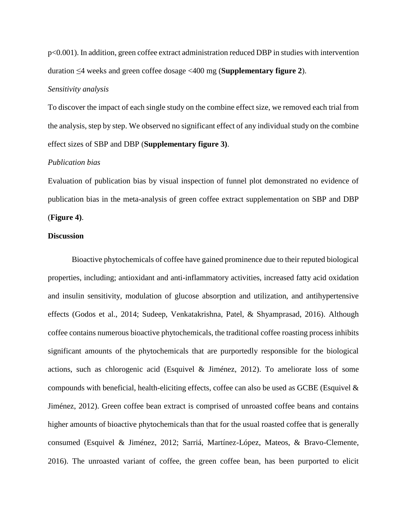p<0.001). In addition, green coffee extract administration reduced DBP in studies with intervention duration ≤4 weeks and green coffee dosage <400 mg (**Supplementary figure 2**).

#### *Sensitivity analysis*

To discover the impact of each single study on the combine effect size, we removed each trial from the analysis, step by step. We observed no significant effect of any individual study on the combine effect sizes of SBP and DBP (**Supplementary figure 3)**.

#### *Publication bias*

Evaluation of publication bias by visual inspection of funnel plot demonstrated no evidence of publication bias in the meta-analysis of green coffee extract supplementation on SBP and DBP (**Figure 4)**.

#### **Discussion**

Bioactive phytochemicals of coffee have gained prominence due to their reputed biological properties, including; antioxidant and anti-inflammatory activities, increased fatty acid oxidation and insulin sensitivity, modulation of glucose absorption and utilization, and antihypertensive effects (Godos et al., 2014; Sudeep, Venkatakrishna, Patel, & Shyamprasad, 2016). Although coffee contains numerous bioactive phytochemicals, the traditional coffee roasting process inhibits significant amounts of the phytochemicals that are purportedly responsible for the biological actions, such as chlorogenic acid (Esquivel & Jiménez, 2012). To ameliorate loss of some compounds with beneficial, health-eliciting effects, coffee can also be used as GCBE (Esquivel & Jiménez, 2012). Green coffee bean extract is comprised of unroasted coffee beans and contains higher amounts of bioactive phytochemicals than that for the usual roasted coffee that is generally consumed (Esquivel & Jiménez, 2012; Sarriá, Martínez-López, Mateos, & Bravo-Clemente, 2016). The unroasted variant of coffee, the green coffee bean, has been purported to elicit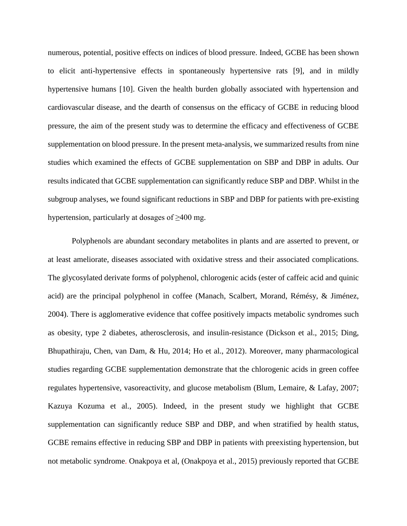numerous, potential, positive effects on indices of blood pressure. Indeed, GCBE has been shown to elicit anti-hypertensive effects in spontaneously hypertensive rats [9], and in mildly hypertensive humans [10]. Given the health burden globally associated with hypertension and cardiovascular disease, and the dearth of consensus on the efficacy of GCBE in reducing blood pressure, the aim of the present study was to determine the efficacy and effectiveness of GCBE supplementation on blood pressure. In the present meta-analysis, we summarized results from nine studies which examined the effects of GCBE supplementation on SBP and DBP in adults. Our results indicated that GCBE supplementation can significantly reduce SBP and DBP. Whilst in the subgroup analyses, we found significant reductions in SBP and DBP for patients with pre-existing hypertension, particularly at dosages of  $\geq 400$  mg.

Polyphenols are abundant secondary metabolites in plants and are asserted to prevent, or at least ameliorate, diseases associated with oxidative stress and their associated complications. The glycosylated derivate forms of polyphenol, chlorogenic acids (ester of caffeic acid and quinic acid) are the principal polyphenol in coffee (Manach, Scalbert, Morand, Rémésy, & Jiménez, 2004). There is agglomerative evidence that coffee positively impacts metabolic syndromes such as obesity, type 2 diabetes, atherosclerosis, and insulin-resistance (Dickson et al., 2015; Ding, Bhupathiraju, Chen, van Dam, & Hu, 2014; Ho et al., 2012). Moreover, many pharmacological studies regarding GCBE supplementation demonstrate that the chlorogenic acids in green coffee regulates hypertensive, vasoreactivity, and glucose metabolism (Blum, Lemaire, & Lafay, 2007; Kazuya Kozuma et al., 2005). Indeed, in the present study we highlight that GCBE supplementation can significantly reduce SBP and DBP, and when stratified by health status, GCBE remains effective in reducing SBP and DBP in patients with preexisting hypertension, but not metabolic syndrome. Onakpoya et al, (Onakpoya et al., 2015) previously reported that GCBE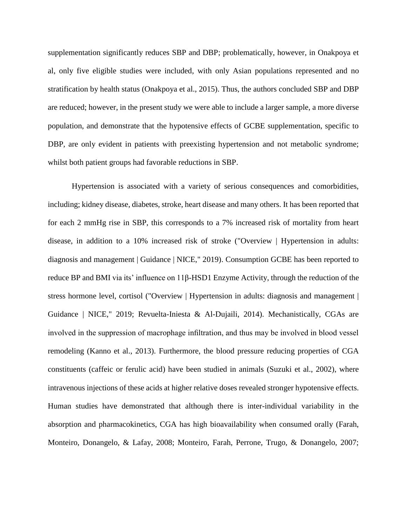supplementation significantly reduces SBP and DBP; problematically, however, in Onakpoya et al, only five eligible studies were included, with only Asian populations represented and no stratification by health status (Onakpoya et al., 2015). Thus, the authors concluded SBP and DBP are reduced; however, in the present study we were able to include a larger sample, a more diverse population, and demonstrate that the hypotensive effects of GCBE supplementation, specific to DBP, are only evident in patients with preexisting hypertension and not metabolic syndrome; whilst both patient groups had favorable reductions in SBP.

Hypertension is associated with a variety of serious consequences and comorbidities, including; kidney disease, diabetes, stroke, heart disease and many others. It has been reported that for each 2 mmHg rise in SBP, this corresponds to a 7% increased risk of mortality from heart disease, in addition to a 10% increased risk of stroke ("Overview | Hypertension in adults: diagnosis and management | Guidance | NICE," 2019). Consumption GCBE has been reported to reduce BP and BMI via its' influence on 11β-HSD1 Enzyme Activity, through the reduction of the stress hormone level, cortisol ("Overview | Hypertension in adults: diagnosis and management | Guidance | NICE," 2019; Revuelta-Iniesta & Al-Dujaili, 2014). Mechanistically, CGAs are involved in the suppression of macrophage infiltration, and thus may be involved in blood vessel remodeling (Kanno et al., 2013). Furthermore, the blood pressure reducing properties of CGA constituents (caffeic or ferulic acid) have been studied in animals (Suzuki et al., 2002), where intravenous injections of these acids at higher relative doses revealed stronger hypotensive effects. Human studies have demonstrated that although there is inter-individual variability in the absorption and pharmacokinetics, CGA has high bioavailability when consumed orally (Farah, Monteiro, Donangelo, & Lafay, 2008; Monteiro, Farah, Perrone, Trugo, & Donangelo, 2007;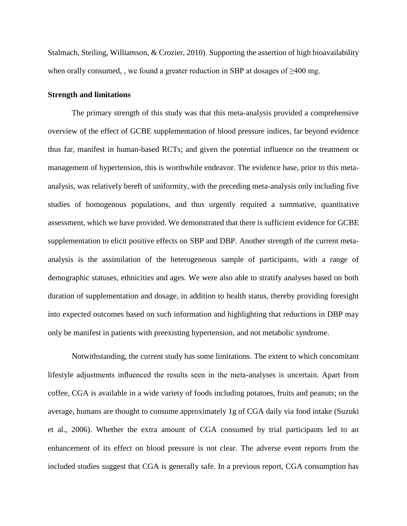Stalmach, Steiling, Williamson, & Crozier, 2010). Supporting the assertion of high bioavailability when orally consumed, , we found a greater reduction in SBP at dosages of  $\geq 400$  mg.

#### **Strength and limitations**

The primary strength of this study was that this meta-analysis provided a comprehensive overview of the effect of GCBE supplementation of blood pressure indices, far beyond evidence thus far, manifest in human-based RCTs; and given the potential influence on the treatment or management of hypertension, this is worthwhile endeavor. The evidence base, prior to this metaanalysis, was relatively bereft of uniformity, with the preceding meta-analysis only including five studies of homogenous populations, and thus urgently required a summative, quantitative assessment, which we have provided. We demonstrated that there is sufficient evidence for GCBE supplementation to elicit positive effects on SBP and DBP. Another strength of the current metaanalysis is the assimilation of the heterogeneous sample of participants, with a range of demographic statuses, ethnicities and ages. We were also able to stratify analyses based on both duration of supplementation and dosage, in addition to health status, thereby providing foresight into expected outcomes based on such information and highlighting that reductions in DBP may only be manifest in patients with preexisting hypertension, and not metabolic syndrome.

Notwithstanding, the current study has some limitations. The extent to which concomitant lifestyle adjustments influenced the results seen in the meta-analyses is uncertain. Apart from coffee, CGA is available in a wide variety of foods including potatoes, fruits and peanuts; on the average, humans are thought to consume approximately 1g of CGA daily via food intake (Suzuki et al., 2006). Whether the extra amount of CGA consumed by trial participants led to an enhancement of its effect on blood pressure is not clear. The adverse event reports from the included studies suggest that CGA is generally safe. In a previous report, CGA consumption has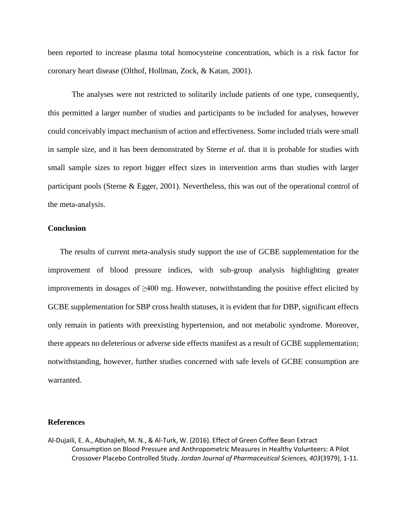been reported to increase plasma total homocysteine concentration, which is a risk factor for coronary heart disease (Olthof, Hollman, Zock, & Katan, 2001).

The analyses were not restricted to solitarily include patients of one type, consequently, this permitted a larger number of studies and participants to be included for analyses, however could conceivably impact mechanism of action and effectiveness. Some included trials were small in sample size, and it has been demonstrated by Sterne *et al.* that it is probable for studies with small sample sizes to report bigger effect sizes in intervention arms than studies with larger participant pools (Sterne & Egger, 2001). Nevertheless, this was out of the operational control of the meta-analysis.

#### **Conclusion**

 The results of current meta-analysis study support the use of GCBE supplementation for the improvement of blood pressure indices, with sub-group analysis highlighting greater improvements in dosages of ≥400 mg. However, notwithstanding the positive effect elicited by GCBE supplementation for SBP cross health statuses, it is evident that for DBP, significant effects only remain in patients with preexisting hypertension, and not metabolic syndrome. Moreover, there appears no deleterious or adverse side effects manifest as a result of GCBE supplementation; notwithstanding, however, further studies concerned with safe levels of GCBE consumption are warranted.

#### **References**

Al-Dujaili, E. A., Abuhajleh, M. N., & Al-Turk, W. (2016). Effect of Green Coffee Bean Extract Consumption on Blood Pressure and Anthropometric Measures in Healthy Volunteers: A Pilot Crossover Placebo Controlled Study. *Jordan Journal of Pharmaceutical Sciences, 403*(3979), 1-11.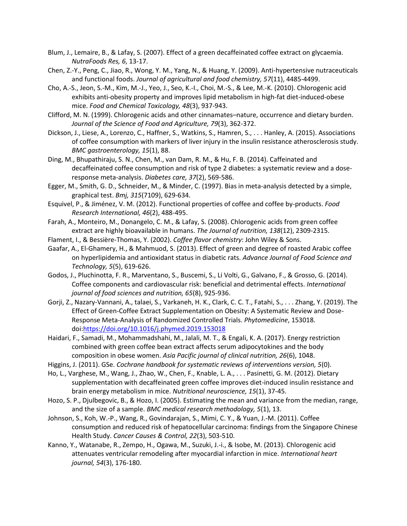- Blum, J., Lemaire, B., & Lafay, S. (2007). Effect of a green decaffeinated coffee extract on glycaemia. *NutraFoods Res, 6*, 13-17.
- Chen, Z.-Y., Peng, C., Jiao, R., Wong, Y. M., Yang, N., & Huang, Y. (2009). Anti-hypertensive nutraceuticals and functional foods. *Journal of agricultural and food chemistry, 57*(11), 4485-4499.
- Cho, A.-S., Jeon, S.-M., Kim, M.-J., Yeo, J., Seo, K.-I., Choi, M.-S., & Lee, M.-K. (2010). Chlorogenic acid exhibits anti-obesity property and improves lipid metabolism in high-fat diet-induced-obese mice. *Food and Chemical Toxicology, 48*(3), 937-943.
- Clifford, M. N. (1999). Chlorogenic acids and other cinnamates–nature, occurrence and dietary burden. *Journal of the Science of Food and Agriculture, 79*(3), 362-372.
- Dickson, J., Liese, A., Lorenzo, C., Haffner, S., Watkins, S., Hamren, S., . . . Hanley, A. (2015). Associations of coffee consumption with markers of liver injury in the insulin resistance atherosclerosis study. *BMC gastroenterology, 15*(1), 88.
- Ding, M., Bhupathiraju, S. N., Chen, M., van Dam, R. M., & Hu, F. B. (2014). Caffeinated and decaffeinated coffee consumption and risk of type 2 diabetes: a systematic review and a doseresponse meta-analysis. *Diabetes care, 37*(2), 569-586.
- Egger, M., Smith, G. D., Schneider, M., & Minder, C. (1997). Bias in meta-analysis detected by a simple, graphical test. *Bmj, 315*(7109), 629-634.
- Esquivel, P., & Jiménez, V. M. (2012). Functional properties of coffee and coffee by-products. *Food Research International, 46*(2), 488-495.
- Farah, A., Monteiro, M., Donangelo, C. M., & Lafay, S. (2008). Chlorogenic acids from green coffee extract are highly bioavailable in humans. *The Journal of nutrition, 138*(12), 2309-2315.
- Flament, I., & Bessière-Thomas, Y. (2002). *Coffee flavor chemistry*: John Wiley & Sons.
- Gaafar, A., El-Ghamery, H., & Mahmuod, S. (2013). Effect of green and degree of roasted Arabic coffee on hyperlipidemia and antioxidant status in diabetic rats. *Advance Journal of Food Science and Technology, 5*(5), 619-626.
- Godos, J., Pluchinotta, F. R., Marventano, S., Buscemi, S., Li Volti, G., Galvano, F., & Grosso, G. (2014). Coffee components and cardiovascular risk: beneficial and detrimental effects. *International journal of food sciences and nutrition, 65*(8), 925-936.
- Gorji, Z., Nazary-Vannani, A., talaei, S., Varkaneh, H. K., Clark, C. C. T., Fatahi, S., . . . Zhang, Y. (2019). The Effect of Green-Coffee Extract Supplementation on Obesity: A Systematic Review and Dose-Response Meta-Analysis of Randomized Controlled Trials. *Phytomedicine*, 153018. doi[:https://doi.org/10.1016/j.phymed.2019.153018](https://doi.org/10.1016/j.phymed.2019.153018)
- Haidari, F., Samadi, M., Mohammadshahi, M., Jalali, M. T., & Engali, K. A. (2017). Energy restriction combined with green coffee bean extract affects serum adipocytokines and the body composition in obese women. *Asia Pacific journal of clinical nutrition, 26*(6), 1048.
- Higgins, J. (2011). GSe. *Cochrane handbook for systematic reviews of interventions version, 5*(0).
- Ho, L., Varghese, M., Wang, J., Zhao, W., Chen, F., Knable, L. A., . . . Pasinetti, G. M. (2012). Dietary supplementation with decaffeinated green coffee improves diet-induced insulin resistance and brain energy metabolism in mice. *Nutritional neuroscience, 15*(1), 37-45.
- Hozo, S. P., Djulbegovic, B., & Hozo, I. (2005). Estimating the mean and variance from the median, range, and the size of a sample. *BMC medical research methodology, 5*(1), 13.
- Johnson, S., Koh, W.-P., Wang, R., Govindarajan, S., Mimi, C. Y., & Yuan, J.-M. (2011). Coffee consumption and reduced risk of hepatocellular carcinoma: findings from the Singapore Chinese Health Study. *Cancer Causes & Control, 22*(3), 503-510.
- Kanno, Y., Watanabe, R., Zempo, H., Ogawa, M., Suzuki, J.-i., & Isobe, M. (2013). Chlorogenic acid attenuates ventricular remodeling after myocardial infarction in mice. *International heart journal, 54*(3), 176-180.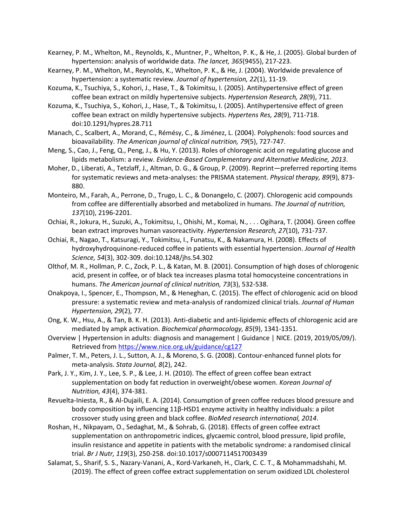Kearney, P. M., Whelton, M., Reynolds, K., Muntner, P., Whelton, P. K., & He, J. (2005). Global burden of hypertension: analysis of worldwide data. *The lancet, 365*(9455), 217-223.

- Kearney, P. M., Whelton, M., Reynolds, K., Whelton, P. K., & He, J. (2004). Worldwide prevalence of hypertension: a systematic review. *Journal of hypertension, 22*(1), 11-19.
- Kozuma, K., Tsuchiya, S., Kohori, J., Hase, T., & Tokimitsu, I. (2005). Antihypertensive effect of green coffee bean extract on mildly hypertensive subjects. *Hypertension Research, 28*(9), 711.
- Kozuma, K., Tsuchiya, S., Kohori, J., Hase, T., & Tokimitsu, I. (2005). Antihypertensive effect of green coffee bean extract on mildly hypertensive subjects. *Hypertens Res, 28*(9), 711-718. doi:10.1291/hypres.28.711
- Manach, C., Scalbert, A., Morand, C., Rémésy, C., & Jiménez, L. (2004). Polyphenols: food sources and bioavailability. *The American journal of clinical nutrition, 79*(5), 727-747.
- Meng, S., Cao, J., Feng, Q., Peng, J., & Hu, Y. (2013). Roles of chlorogenic acid on regulating glucose and lipids metabolism: a review. *Evidence-Based Complementary and Alternative Medicine, 2013*.
- Moher, D., Liberati, A., Tetzlaff, J., Altman, D. G., & Group, P. (2009). Reprint—preferred reporting items for systematic reviews and meta-analyses: the PRISMA statement. *Physical therapy, 89*(9), 873- 880.
- Monteiro, M., Farah, A., Perrone, D., Trugo, L. C., & Donangelo, C. (2007). Chlorogenic acid compounds from coffee are differentially absorbed and metabolized in humans. *The Journal of nutrition, 137*(10), 2196-2201.
- Ochiai, R., Jokura, H., Suzuki, A., Tokimitsu, I., Ohishi, M., Komai, N., . . . Ogihara, T. (2004). Green coffee bean extract improves human vasoreactivity. *Hypertension Research, 27*(10), 731-737.
- Ochiai, R., Nagao, T., Katsuragi, Y., Tokimitsu, I., Funatsu, K., & Nakamura, H. (2008). Effects of hydroxyhydroquinone-reduced coffee in patients with essential hypertension. *Journal of Health Science, 54*(3), 302-309. doi:10.1248/jhs.54.302
- Olthof, M. R., Hollman, P. C., Zock, P. L., & Katan, M. B. (2001). Consumption of high doses of chlorogenic acid, present in coffee, or of black tea increases plasma total homocysteine concentrations in humans. *The American journal of clinical nutrition, 73*(3), 532-538.
- Onakpoya, I., Spencer, E., Thompson, M., & Heneghan, C. (2015). The effect of chlorogenic acid on blood pressure: a systematic review and meta-analysis of randomized clinical trials. *Journal of Human Hypertension, 29*(2), 77.
- Ong, K. W., Hsu, A., & Tan, B. K. H. (2013). Anti-diabetic and anti-lipidemic effects of chlorogenic acid are mediated by ampk activation. *Biochemical pharmacology, 85*(9), 1341-1351.
- Overview | Hypertension in adults: diagnosis and management | Guidance | NICE. (2019, 2019/05/09/). Retrieved from<https://www.nice.org.uk/guidance/cg127>
- Palmer, T. M., Peters, J. L., Sutton, A. J., & Moreno, S. G. (2008). Contour-enhanced funnel plots for meta-analysis. *Stata Journal, 8*(2), 242.
- Park, J. Y., Kim, J. Y., Lee, S. P., & Lee, J. H. (2010). The effect of green coffee bean extract supplementation on body fat reduction in overweight/obese women. *Korean Journal of Nutrition, 43*(4), 374-381.
- Revuelta-Iniesta, R., & Al-Dujaili, E. A. (2014). Consumption of green coffee reduces blood pressure and body composition by influencing 11β-HSD1 enzyme activity in healthy individuals: a pilot crossover study using green and black coffee. *BioMed research international, 2014*.
- Roshan, H., Nikpayam, O., Sedaghat, M., & Sohrab, G. (2018). Effects of green coffee extract supplementation on anthropometric indices, glycaemic control, blood pressure, lipid profile, insulin resistance and appetite in patients with the metabolic syndrome: a randomised clinical trial. *Br J Nutr, 119*(3), 250-258. doi:10.1017/s0007114517003439
- Salamat, S., Sharif, S. S., Nazary-Vanani, A., Kord-Varkaneh, H., Clark, C. C. T., & Mohammadshahi, M. (2019). The effect of green coffee extract supplementation on serum oxidized LDL cholesterol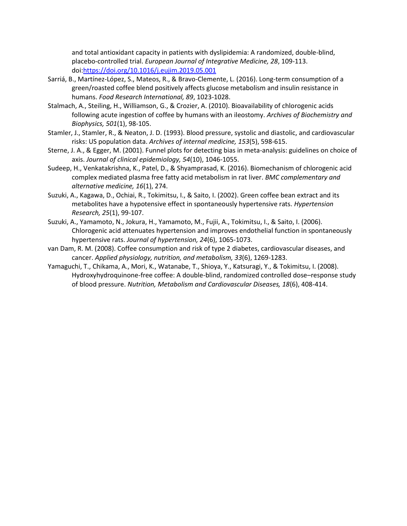and total antioxidant capacity in patients with dyslipidemia: A randomized, double-blind, placebo-controlled trial. *European Journal of Integrative Medicine, 28*, 109-113. doi[:https://doi.org/10.1016/j.eujim.2019.05.001](https://doi.org/10.1016/j.eujim.2019.05.001)

- Sarriá, B., Martínez-López, S., Mateos, R., & Bravo-Clemente, L. (2016). Long-term consumption of a green/roasted coffee blend positively affects glucose metabolism and insulin resistance in humans. *Food Research International, 89*, 1023-1028.
- Stalmach, A., Steiling, H., Williamson, G., & Crozier, A. (2010). Bioavailability of chlorogenic acids following acute ingestion of coffee by humans with an ileostomy. *Archives of Biochemistry and Biophysics, 501*(1), 98-105.
- Stamler, J., Stamler, R., & Neaton, J. D. (1993). Blood pressure, systolic and diastolic, and cardiovascular risks: US population data. *Archives of internal medicine, 153*(5), 598-615.
- Sterne, J. A., & Egger, M. (2001). Funnel plots for detecting bias in meta-analysis: guidelines on choice of axis. *Journal of clinical epidemiology, 54*(10), 1046-1055.
- Sudeep, H., Venkatakrishna, K., Patel, D., & Shyamprasad, K. (2016). Biomechanism of chlorogenic acid complex mediated plasma free fatty acid metabolism in rat liver. *BMC complementary and alternative medicine, 16*(1), 274.
- Suzuki, A., Kagawa, D., Ochiai, R., Tokimitsu, I., & Saito, I. (2002). Green coffee bean extract and its metabolites have a hypotensive effect in spontaneously hypertensive rats. *Hypertension Research, 25*(1), 99-107.
- Suzuki, A., Yamamoto, N., Jokura, H., Yamamoto, M., Fujii, A., Tokimitsu, I., & Saito, I. (2006). Chlorogenic acid attenuates hypertension and improves endothelial function in spontaneously hypertensive rats. *Journal of hypertension, 24*(6), 1065-1073.
- van Dam, R. M. (2008). Coffee consumption and risk of type 2 diabetes, cardiovascular diseases, and cancer. *Applied physiology, nutrition, and metabolism, 33*(6), 1269-1283.
- Yamaguchi, T., Chikama, A., Mori, K., Watanabe, T., Shioya, Y., Katsuragi, Y., & Tokimitsu, I. (2008). Hydroxyhydroquinone-free coffee: A double-blind, randomized controlled dose–response study of blood pressure. *Nutrition, Metabolism and Cardiovascular Diseases, 18*(6), 408-414.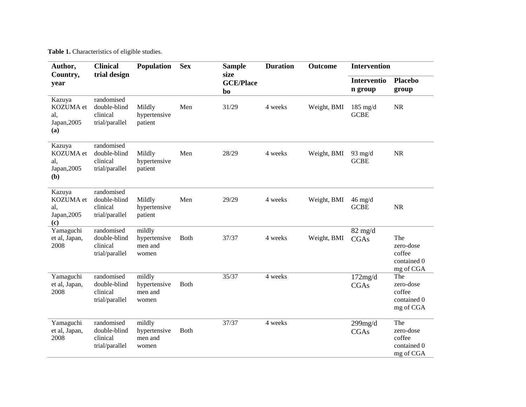**Table 1.** Characteristics of eligible studies.

| Author,                                          | <b>Clinical</b>                                          | <b>Population</b>                          | <b>Sex</b>   | <b>Sample</b>                  | <b>Duration</b> | <b>Outcome</b> | <b>Intervention</b>              |                                                        |
|--------------------------------------------------|----------------------------------------------------------|--------------------------------------------|--------------|--------------------------------|-----------------|----------------|----------------------------------|--------------------------------------------------------|
| Country,<br>year                                 | trial design                                             |                                            |              | size<br><b>GCE/Place</b><br>bo |                 |                | Interventio<br>n group           | <b>Placebo</b><br>group                                |
| Kazuya<br>KOZUMA et<br>al.<br>Japan, 2005<br>(a) | randomised<br>double-blind<br>clinical<br>trial/parallel | Mildly<br>hypertensive<br>patient          | Men          | 31/29                          | 4 weeks         | Weight, BMI    | $185$ mg/d<br><b>GCBE</b>        | NR                                                     |
| Kazuya<br>KOZUMA et<br>al.<br>Japan, 2005<br>(b) | randomised<br>double-blind<br>clinical<br>trial/parallel | Mildly<br>hypertensive<br>patient          | Men          | 28/29                          | 4 weeks         | Weight, BMI    | 93 mg/d<br><b>GCBE</b>           | <b>NR</b>                                              |
| Kazuya<br>KOZUMA et<br>al,<br>Japan, 2005<br>(c) | randomised<br>double-blind<br>clinical<br>trial/parallel | Mildly<br>hypertensive<br>patient          | Men          | 29/29                          | 4 weeks         | Weight, BMI    | $46 \text{ mg/d}$<br><b>GCBE</b> | <b>NR</b>                                              |
| Yamaguchi<br>et al, Japan,<br>2008               | randomised<br>double-blind<br>clinical<br>trial/parallel | mildly<br>hypertensive<br>men and<br>women | <b>Both</b>  | 37/37                          | 4 weeks         | Weight, BMI    | $82 \text{ mg/d}$<br>CGAs        | The<br>zero-dose<br>coffee<br>contained 0<br>mg of CGA |
| Yamaguchi<br>et al, Japan,<br>2008               | randomised<br>double-blind<br>clinical<br>trial/parallel | mildly<br>hypertensive<br>men and<br>women | <b>Both</b>  | 35/37                          | 4 weeks         |                | 172mg/d<br><b>CGAs</b>           | The<br>zero-dose<br>coffee<br>contained 0<br>mg of CGA |
| Yamaguchi<br>et al, Japan,<br>2008               | randomised<br>double-blind<br>clinical<br>trial/parallel | mildly<br>hypertensive<br>men and<br>women | <b>B</b> oth | 37/37                          | 4 weeks         |                | $299$ mg/d<br>CGAs               | The<br>zero-dose<br>coffee<br>contained 0<br>mg of CGA |